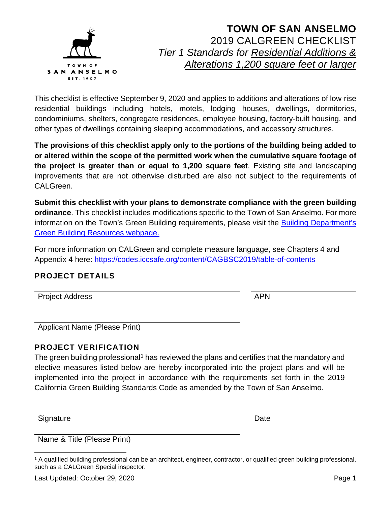

This checklist is effective September 9, 2020 and applies to additions and alterations of low-rise residential buildings including hotels, motels, lodging houses, dwellings, dormitories, condominiums, shelters, congregate residences, employee housing, factory-built housing, and other types of dwellings containing sleeping accommodations, and accessory structures.

**The provisions of this checklist apply only to the portions of the building being added to or altered within the scope of the permitted work when the cumulative square footage of the project is greater than or equal to 1,200 square feet**. Existing site and landscaping improvements that are not otherwise disturbed are also not subject to the requirements of CAL Green.

**Submit this checklist with your plans to demonstrate compliance with the green building ordinance**. This checklist includes modifications specific to the Town of San Anselmo. For more information on the Town's Green Building requirements, please visit the [Building Department's](https://www.townofsananselmo.org/1228/Green-Building-Resources)  [Green Building Resources webpage.](https://www.townofsananselmo.org/1228/Green-Building-Resources)

For more information on CALGreen and complete measure language, see Chapters 4 and Appendix 4 here:<https://codes.iccsafe.org/content/CAGBSC2019/table-of-contents>

### **PROJECT DETAILS**

Project Address APN

Applicant Name (Please Print)

### **PROJECT VERIFICATION**

The green building professional<sup>[1](#page-0-0)</sup> has reviewed the plans and certifies that the mandatory and elective measures listed below are hereby incorporated into the project plans and will be implemented into the project in accordance with the requirements set forth in the 2019 California Green Building Standards Code as amended by the Town of San Anselmo.

Signature **Date** 

Name & Title (Please Print)

<span id="page-0-0"></span><sup>1</sup> A qualified building professional can be an architect, engineer, contractor, or qualified green building professional, such as a CALGreen Special inspector.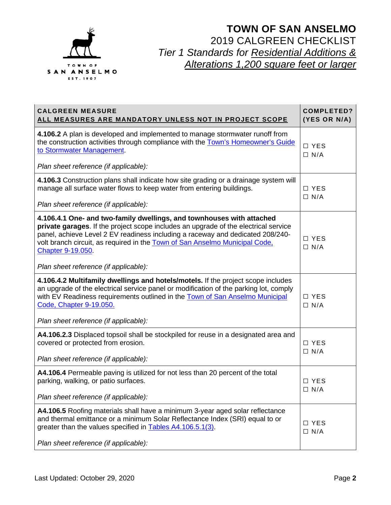

| <b>CALGREEN MEASURE</b><br>ALL MEASURES ARE MANDATORY UNLESS NOT IN PROJECT SCOPE                                                                                                                                                                                                                                                                                                                 | <b>COMPLETED?</b><br>(YES OR N/A) |
|---------------------------------------------------------------------------------------------------------------------------------------------------------------------------------------------------------------------------------------------------------------------------------------------------------------------------------------------------------------------------------------------------|-----------------------------------|
| 4.106.2 A plan is developed and implemented to manage stormwater runoff from<br>the construction activities through compliance with the Town's Homeowner's Guide<br>to Stormwater Management.<br>Plan sheet reference (if applicable):                                                                                                                                                            | $\Box$ YES<br>$\Box$ N/A          |
| 4.106.3 Construction plans shall indicate how site grading or a drainage system will<br>manage all surface water flows to keep water from entering buildings.<br>Plan sheet reference (if applicable):                                                                                                                                                                                            | $\Box$ YES<br>$\Box$ N/A          |
| 4.106.4.1 One- and two-family dwellings, and townhouses with attached<br>private garages. If the project scope includes an upgrade of the electrical service<br>panel, achieve Level 2 EV readiness including a raceway and dedicated 208/240-<br>volt branch circuit, as required in the Town of San Anselmo Municipal Code,<br><b>Chapter 9-19.050</b><br>Plan sheet reference (if applicable): | $\Box$ YES<br>$\Box$ N/A          |
| 4.106.4.2 Multifamily dwellings and hotels/motels. If the project scope includes<br>an upgrade of the electrical service panel or modification of the parking lot, comply<br>with EV Readiness requirements outlined in the Town of San Anselmo Municipal<br>Code, Chapter 9-19.050.<br>Plan sheet reference (if applicable):                                                                     | $\Box$ YES<br>$\Box$ N/A          |
| A4.106.2.3 Displaced topsoil shall be stockpiled for reuse in a designated area and<br>covered or protected from erosion.<br>Plan sheet reference (if applicable):                                                                                                                                                                                                                                | $\Box$ YES<br>$\Box$ N/A          |
| A4.106.4 Permeable paving is utilized for not less than 20 percent of the total<br>parking, walking, or patio surfaces.<br>Plan sheet reference (if applicable):                                                                                                                                                                                                                                  | $\Box$ YES<br>$\Box$ N/A          |
| A4.106.5 Roofing materials shall have a minimum 3-year aged solar reflectance<br>and thermal emittance or a minimum Solar Reflectance Index (SRI) equal to or<br>greater than the values specified in Tables A4.106.5.1(3).<br>Plan sheet reference (if applicable):                                                                                                                              | □ YES<br>$\Box$ N/A               |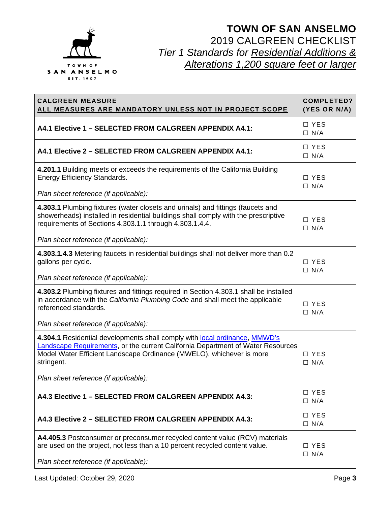

| <b>CALGREEN MEASURE</b><br><u>ALL MEASURES ARE MANDATORY UNLESS NOT IN PROJECT SCOPE</u>                                                                                                                                                                                                     | <b>COMPLETED?</b><br>(YES OR N/A) |
|----------------------------------------------------------------------------------------------------------------------------------------------------------------------------------------------------------------------------------------------------------------------------------------------|-----------------------------------|
| A4.1 Elective 1 - SELECTED FROM CALGREEN APPENDIX A4.1:                                                                                                                                                                                                                                      | □ YES<br>$\Box$ N/A               |
| A4.1 Elective 2 - SELECTED FROM CALGREEN APPENDIX A4.1:                                                                                                                                                                                                                                      | $\Box$ YES<br>$\Box$ N/A          |
| 4.201.1 Building meets or exceeds the requirements of the California Building<br><b>Energy Efficiency Standards.</b>                                                                                                                                                                         | $\Box$ YES<br>$\Box$ N/A          |
| Plan sheet reference (if applicable):                                                                                                                                                                                                                                                        |                                   |
| 4.303.1 Plumbing fixtures (water closets and urinals) and fittings (faucets and<br>showerheads) installed in residential buildings shall comply with the prescriptive<br>requirements of Sections 4.303.1.1 through 4.303.1.4.4.                                                             | $\Box$ YES<br>$\Box$ N/A          |
| Plan sheet reference (if applicable):                                                                                                                                                                                                                                                        |                                   |
| 4.303.1.4.3 Metering faucets in residential buildings shall not deliver more than 0.2<br>gallons per cycle.                                                                                                                                                                                  | $\Box$ YES<br>$\Box$ N/A          |
| Plan sheet reference (if applicable):                                                                                                                                                                                                                                                        |                                   |
| 4.303.2 Plumbing fixtures and fittings required in Section 4.303.1 shall be installed<br>in accordance with the California Plumbing Code and shall meet the applicable<br>referenced standards.                                                                                              | $\Box$ YES<br>$\Box$ N/A          |
| Plan sheet reference (if applicable):                                                                                                                                                                                                                                                        |                                   |
| 4.304.1 Residential developments shall comply with local ordinance, MMWD's<br>Landscape Requirements, or the current California Department of Water Resources<br>Model Water Efficient Landscape Ordinance (MWELO), whichever is more<br>stringent.<br>Plan sheet reference (if applicable): | $\Box$ YES<br>$\Box$ N/A          |
|                                                                                                                                                                                                                                                                                              |                                   |
| A4.3 Elective 1 - SELECTED FROM CALGREEN APPENDIX A4.3:                                                                                                                                                                                                                                      | $\Box$ YES<br>$\Box$ N/A          |
| A4.3 Elective 2 - SELECTED FROM CALGREEN APPENDIX A4.3:                                                                                                                                                                                                                                      | $\Box$ YES<br>$\Box$ N/A          |
| A4.405.3 Postconsumer or preconsumer recycled content value (RCV) materials<br>are used on the project, not less than a 10 percent recycled content value.                                                                                                                                   | $\Box$ YES<br>$\Box$ N/A          |
| Plan sheet reference (if applicable):                                                                                                                                                                                                                                                        |                                   |

Last Updated: October 29, 2020 **Page 3**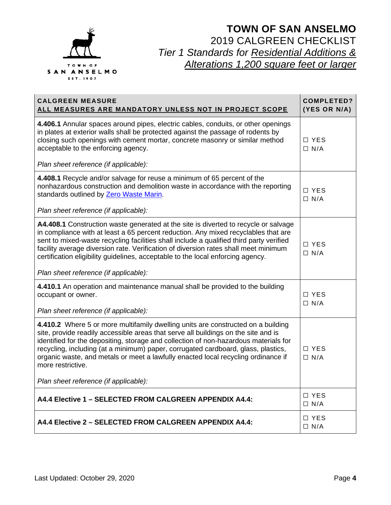

| <b>CALGREEN MEASURE</b><br>ALL MEASURES ARE MANDATORY UNLESS NOT IN PROJECT SCOPE                                                                                                                                                                                                                                                                                                                                                              | <b>COMPLETED?</b><br>(YES OR N/A) |
|------------------------------------------------------------------------------------------------------------------------------------------------------------------------------------------------------------------------------------------------------------------------------------------------------------------------------------------------------------------------------------------------------------------------------------------------|-----------------------------------|
| 4.406.1 Annular spaces around pipes, electric cables, conduits, or other openings<br>in plates at exterior walls shall be protected against the passage of rodents by<br>closing such openings with cement mortar, concrete masonry or similar method<br>acceptable to the enforcing agency.<br>Plan sheet reference (if applicable):                                                                                                          | $\Box$ YES<br>$\Box$ N/A          |
| 4.408.1 Recycle and/or salvage for reuse a minimum of 65 percent of the                                                                                                                                                                                                                                                                                                                                                                        |                                   |
| nonhazardous construction and demolition waste in accordance with the reporting<br>standards outlined by Zero Waste Marin.                                                                                                                                                                                                                                                                                                                     | $\Box$ YES<br>$\Box$ N/A          |
| Plan sheet reference (if applicable):                                                                                                                                                                                                                                                                                                                                                                                                          |                                   |
| A4.408.1 Construction waste generated at the site is diverted to recycle or salvage<br>in compliance with at least a 65 percent reduction. Any mixed recyclables that are<br>sent to mixed-waste recycling facilities shall include a qualified third party verified<br>facility average diversion rate. Verification of diversion rates shall meet minimum<br>certification eligibility guidelines, acceptable to the local enforcing agency. | □ YES<br>$\Box$ N/A               |
| Plan sheet reference (if applicable):                                                                                                                                                                                                                                                                                                                                                                                                          |                                   |
| 4.410.1 An operation and maintenance manual shall be provided to the building<br>occupant or owner.<br>Plan sheet reference (if applicable):                                                                                                                                                                                                                                                                                                   | $\Box$ YES<br>$\Box$ N/A          |
| 4.410.2 Where 5 or more multifamily dwelling units are constructed on a building                                                                                                                                                                                                                                                                                                                                                               |                                   |
| site, provide readily accessible areas that serve all buildings on the site and is<br>identified for the depositing, storage and collection of non-hazardous materials for<br>recycling, including (at a minimum) paper, corrugated cardboard, glass, plastics,<br>organic waste, and metals or meet a lawfully enacted local recycling ordinance if<br>more restrictive.                                                                      | $\Box$ YES<br>$\Box$ N/A          |
| Plan sheet reference (if applicable):                                                                                                                                                                                                                                                                                                                                                                                                          |                                   |
| A4.4 Elective 1 - SELECTED FROM CALGREEN APPENDIX A4.4:                                                                                                                                                                                                                                                                                                                                                                                        | □ YES<br>$\Box$ N/A               |
| A4.4 Elective 2 - SELECTED FROM CALGREEN APPENDIX A4.4:                                                                                                                                                                                                                                                                                                                                                                                        | $\Box$ YES<br>$\Box$ N/A          |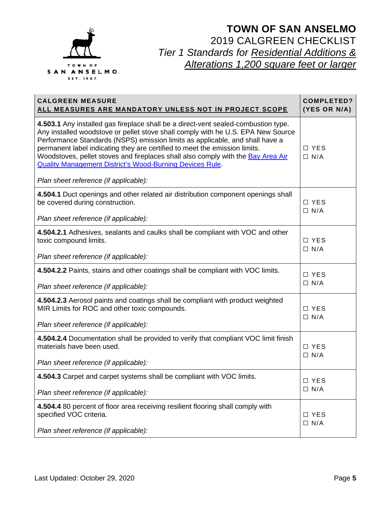

| <b>CALGREEN MEASURE</b><br>ALL MEASURES ARE MANDATORY UNLESS NOT IN PROJECT SCOPE                                                                                                                                                                                                                                                                                                                                                                                                                                                    | <b>COMPLETED?</b><br>(YES OR N/A) |
|--------------------------------------------------------------------------------------------------------------------------------------------------------------------------------------------------------------------------------------------------------------------------------------------------------------------------------------------------------------------------------------------------------------------------------------------------------------------------------------------------------------------------------------|-----------------------------------|
| 4.503.1 Any installed gas fireplace shall be a direct-vent sealed-combustion type.<br>Any installed woodstove or pellet stove shall comply with he U.S. EPA New Source<br>Performance Standards (NSPS) emission limits as applicable, and shall have a<br>permanent label indicating they are certified to meet the emission limits.<br>Woodstoves, pellet stoves and fireplaces shall also comply with the Bay Area Air<br><b>Quality Management District's Wood-Burning Devices Rule.</b><br>Plan sheet reference (if applicable): | $\Box$ YES<br>$\Box$ N/A          |
| 4.504.1 Duct openings and other related air distribution component openings shall<br>be covered during construction.<br>Plan sheet reference (if applicable):                                                                                                                                                                                                                                                                                                                                                                        | □ YES<br>$\Box$ N/A               |
| 4.504.2.1 Adhesives, sealants and caulks shall be compliant with VOC and other<br>toxic compound limits.<br>Plan sheet reference (if applicable):                                                                                                                                                                                                                                                                                                                                                                                    | □ YES<br>$\Box$ N/A               |
| 4.504.2.2 Paints, stains and other coatings shall be compliant with VOC limits.<br>Plan sheet reference (if applicable):                                                                                                                                                                                                                                                                                                                                                                                                             | $\Box$ YES<br>$\Box$ N/A          |
| 4.504.2.3 Aerosol paints and coatings shall be compliant with product weighted<br>MIR Limits for ROC and other toxic compounds.<br>Plan sheet reference (if applicable):                                                                                                                                                                                                                                                                                                                                                             | □ YES<br>$\Box$ N/A               |
| 4.504.2.4 Documentation shall be provided to verify that compliant VOC limit finish<br>materials have been used.<br>Plan sheet reference (if applicable):                                                                                                                                                                                                                                                                                                                                                                            | $\Box$ YES<br>$\Box$ N/A          |
| 4.504.3 Carpet and carpet systems shall be compliant with VOC limits.<br>Plan sheet reference (if applicable):                                                                                                                                                                                                                                                                                                                                                                                                                       | $\Box$ YES<br>$\Box$ N/A          |
| 4.504.4 80 percent of floor area receiving resilient flooring shall comply with<br>specified VOC criteria.<br>Plan sheet reference (if applicable):                                                                                                                                                                                                                                                                                                                                                                                  | □ YES<br>$\Box$ N/A               |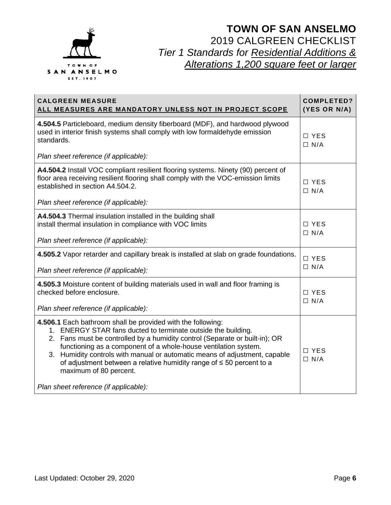

| <b>CALGREEN MEASURE</b><br>ALL MEASURES ARE MANDATORY UNLESS NOT IN PROJECT SCOPE                                                                                                                                                                                                                                                                                                                                                                                                                               | <b>COMPLETED?</b><br>(YES OR N/A) |
|-----------------------------------------------------------------------------------------------------------------------------------------------------------------------------------------------------------------------------------------------------------------------------------------------------------------------------------------------------------------------------------------------------------------------------------------------------------------------------------------------------------------|-----------------------------------|
| 4.504.5 Particleboard, medium density fiberboard (MDF), and hardwood plywood<br>used in interior finish systems shall comply with low formaldehyde emission<br>standards.<br>Plan sheet reference (if applicable):                                                                                                                                                                                                                                                                                              | $\Box$ YES<br>$\Box$ N/A          |
| A4.504.2 Install VOC compliant resilient flooring systems. Ninety (90) percent of<br>floor area receiving resilient flooring shall comply with the VOC-emission limits<br>established in section A4.504.2.<br>Plan sheet reference (if applicable):                                                                                                                                                                                                                                                             | $\Box$ YES<br>$\Box$ N/A          |
| A4.504.3 Thermal insulation installed in the building shall<br>install thermal insulation in compliance with VOC limits<br>Plan sheet reference (if applicable):                                                                                                                                                                                                                                                                                                                                                | $\Box$ YES<br>$\Box$ N/A          |
| 4.505.2 Vapor retarder and capillary break is installed at slab on grade foundations.<br>Plan sheet reference (if applicable):                                                                                                                                                                                                                                                                                                                                                                                  | □ YES<br>$\Box$ N/A               |
| 4.505.3 Moisture content of building materials used in wall and floor framing is<br>checked before enclosure.<br>Plan sheet reference (if applicable):                                                                                                                                                                                                                                                                                                                                                          | $\Box$ YES<br>$\Box$ N/A          |
| 4.506.1 Each bathroom shall be provided with the following:<br>1. ENERGY STAR fans ducted to terminate outside the building.<br>2. Fans must be controlled by a humidity control (Separate or built-in); OR<br>functioning as a component of a whole-house ventilation system.<br>Humidity controls with manual or automatic means of adjustment, capable<br>3.<br>of adjustment between a relative humidity range of $\leq$ 50 percent to a<br>maximum of 80 percent.<br>Plan sheet reference (if applicable): | $\Box$ YES<br>$\Box$ N/A          |